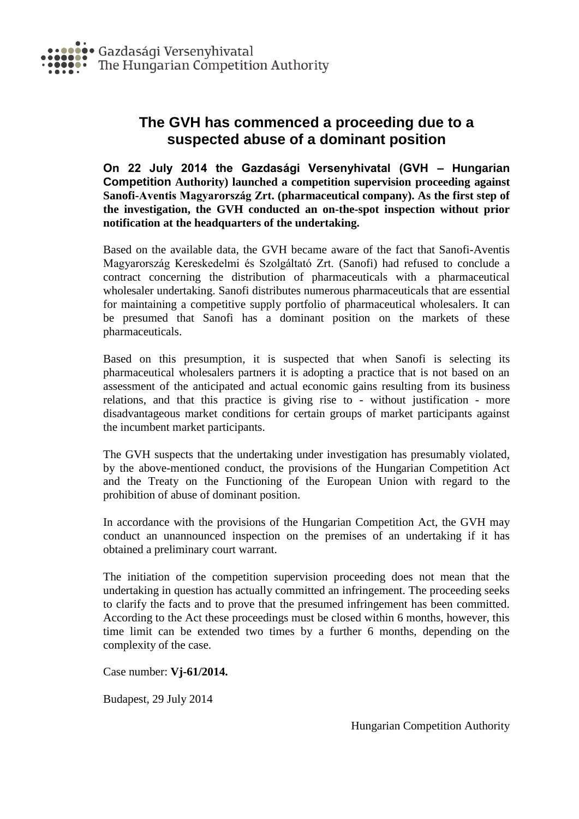

## **The GVH has commenced a proceeding due to a suspected abuse of a dominant position**

**On 22 July 2014 the Gazdasági Versenyhivatal (GVH – Hungarian Competition Authority) launched a competition supervision proceeding against Sanofi-Aventis Magyarország Zrt. (pharmaceutical company). As the first step of the investigation, the GVH conducted an on-the-spot inspection without prior notification at the headquarters of the undertaking.**

Based on the available data, the GVH became aware of the fact that Sanofi-Aventis Magyarország Kereskedelmi és Szolgáltató Zrt. (Sanofi) had refused to conclude a contract concerning the distribution of pharmaceuticals with a pharmaceutical wholesaler undertaking. Sanofi distributes numerous pharmaceuticals that are essential for maintaining a competitive supply portfolio of pharmaceutical wholesalers. It can be presumed that Sanofi has a dominant position on the markets of these pharmaceuticals.

Based on this presumption, it is suspected that when Sanofi is selecting its pharmaceutical wholesalers partners it is adopting a practice that is not based on an assessment of the anticipated and actual economic gains resulting from its business relations, and that this practice is giving rise to - without justification - more disadvantageous market conditions for certain groups of market participants against the incumbent market participants.

The GVH suspects that the undertaking under investigation has presumably violated, by the above-mentioned conduct, the provisions of the Hungarian Competition Act and the Treaty on the Functioning of the European Union with regard to the prohibition of abuse of dominant position.

In accordance with the provisions of the Hungarian Competition Act, the GVH may conduct an unannounced inspection on the premises of an undertaking if it has obtained a preliminary court warrant.

The initiation of the competition supervision proceeding does not mean that the undertaking in question has actually committed an infringement. The proceeding seeks to clarify the facts and to prove that the presumed infringement has been committed. According to the Act these proceedings must be closed within 6 months, however, this time limit can be extended two times by a further 6 months, depending on the complexity of the case.

Case number: **Vj-61/2014.**

Budapest, 29 July 2014

Hungarian Competition Authority